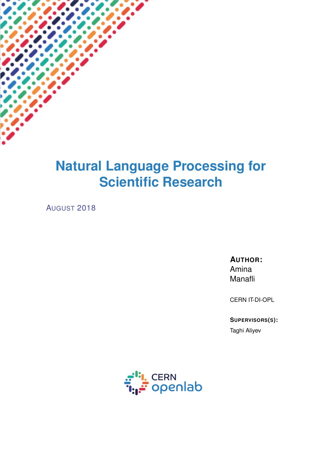# **Natural Language Processing for Scientific Research**

AUGUST 2018

**AUTHOR:** Amina Manafli

CERN IT-DI-OPL

**SUPERVISORS(S):**

Taghi Aliyev

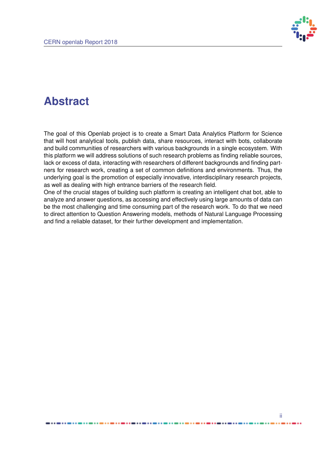

## **Abstract**

The goal of this Openlab project is to create a Smart Data Analytics Platform for Science that will host analytical tools, publish data, share resources, interact with bots, collaborate and build communities of researchers with various backgrounds in a single ecosystem. With this platform we will address solutions of such research problems as finding reliable sources, lack or excess of data, interacting with researchers of different backgrounds and finding partners for research work, creating a set of common definitions and environments. Thus, the underlying goal is the promotion of especially innovative, interdisciplinary research projects, as well as dealing with high entrance barriers of the research field.

One of the crucial stages of building such platform is creating an intelligent chat bot, able to analyze and answer questions, as accessing and effectively using large amounts of data can be the most challenging and time consuming part of the research work. To do that we need to direct attention to Question Answering models, methods of Natural Language Processing and find a reliable dataset, for their further development and implementation.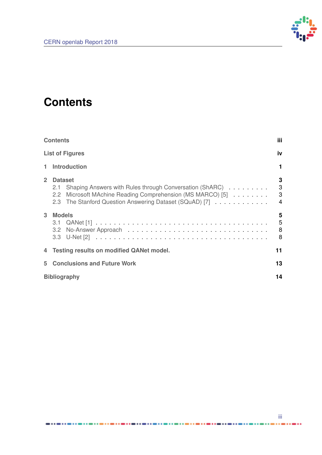

## <span id="page-2-1"></span><span id="page-2-0"></span>**Contents**

|                | <b>Contents</b>                                                                                                                                | <b>iii</b>                               |
|----------------|------------------------------------------------------------------------------------------------------------------------------------------------|------------------------------------------|
|                | <b>List of Figures</b>                                                                                                                         | iv                                       |
| 1.             | <b>Introduction</b>                                                                                                                            |                                          |
| 2 <sup>1</sup> | <b>Dataset</b><br>2.1<br>2.2 Microsoft MAchine Reading Comprehension (MS MARCO) [5]<br>2.3 The Stanford Question Answering Dataset (SQuAD) [7] | 3<br>$\mathbf{3}$<br>3<br>$\overline{4}$ |
| 3              | <b>Models</b>                                                                                                                                  | 5<br>5<br>8<br>8                         |
|                | 4 Testing results on modified QANet model.                                                                                                     | 11                                       |
| 5              | <b>Conclusions and Future Work</b>                                                                                                             | 13                                       |
|                | <b>Bibliography</b>                                                                                                                            |                                          |

...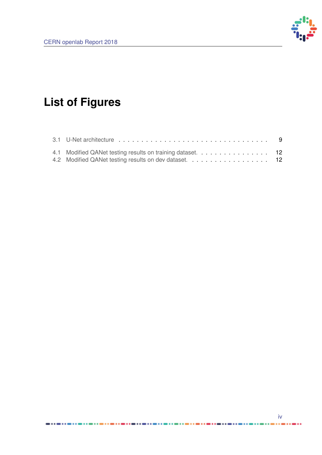

# <span id="page-3-0"></span>**List of Figures**

| 4.1 Modified QANet testing results on training dataset. 12 |  |
|------------------------------------------------------------|--|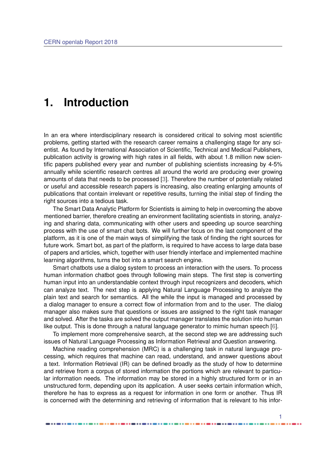### <span id="page-4-1"></span><span id="page-4-0"></span>**1. Introduction**

In an era where interdisciplinary research is considered critical to solving most scientific problems, getting started with the research career remains a challenging stage for any scientist. As found by International Association of Scientific, Technical and Medical Publishers, publication activity is growing with high rates in all fields, with about 1.8 million new scientific papers published every year and number of publishing scientists increasing by 4-5% annually while scientific research centres all around the world are producing ever growing amounts of data that needs to be processed [\[3\]](#page-17-5). Therefore the number of potentially related or useful and accessible research papers is increasing, also creating enlarging amounts of publications that contain irrelevant or repetitive results, turning the initial step of finding the right sources into a tedious task.

The Smart Data Analytic Platform for Scientists is aiming to help in overcoming the above mentioned barrier, therefore creating an environment facilitating scientists in storing, analyzing and sharing data, communicating with other users and speeding up source searching process with the use of smart chat bots. We will further focus on the last component of the platform, as it is one of the main ways of simplifying the task of finding the right sources for future work. Smart bot, as part of the platform, is required to have access to large data base of papers and articles, which, together with user friendly interface and implemented machine learning algorithms, turns the bot into a smart search engine.

Smart chatbots use a dialog system to process an interaction with the users. To process human information chatbot goes through following main steps. The first step is converting human input into an understandable context through input recognizers and decoders, which can analyze text. The next step is applying Natural Language Processing to analyze the plain text and search for semantics. All the while the input is managed and processed by a dialog manager to ensure a correct flow of information from and to the user. The dialog manager also makes sure that questions or issues are assigned to the right task manager and solved. After the tasks are solved the output manager translates the solution into human like output. This is done through a natural language generator to mimic human speech [\[6\]](#page-17-6).

To implement more comprehensive search, at the second step we are addressing such issues of Natural Language Processing as Information Retrieval and Question answering.

Machine reading comprehension (MRC) is a challenging task in natural language processing, which requires that machine can read, understand, and answer questions about a text. Information Retrieval (IR) can be defined broadly as the study of how to determine and retrieve from a corpus of stored information the portions which are relevant to particular information needs. The information may be stored in a highly structured form or in an unstructured form, depending upon its application. A user seeks certain information which, therefore he has to express as a request for information in one form or another. Thus IR is concerned with the determining and retrieving of information that is relevant to his infor-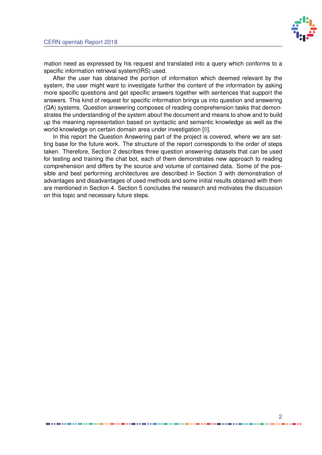

<span id="page-5-0"></span>mation need as expressed by his request and translated into a query which conforms to a specific information retrieval system(IRS) used.

After the user has obtained the portion of information which deemed relevant by the system, the user might want to investigate further the content of the information by asking more specific questions and get specific answers together with sentences that support the answers. This kind of request for specific information brings us into question and answering (QA) systems. Question answering composes of reading comprehension tasks that demonstrates the understanding of the system about the document and means to show and to build up the meaning representation based on syntactic and semantic knowledge as well as the world knowledge on certain domain area under investigation [\[8\]](#page-17-7).

In this report the Question Answering part of the project is covered, where we are setting base for the future work. The structure of the report corresponds to the order of steps taken. Therefore, Section 2 describes three question answering datasets that can be used for testing and training the chat bot, each of them demonstrates new approach to reading comprehension and differs by the source and volume of contained data. Some of the possible and best performing architectures are described in Section 3 with demonstration of advantages and disadvantages of used methods and some initial results obtained with them are mentioned in Section 4. Section 5 concludes the research and motivates the discussion on this topic and necessary future steps.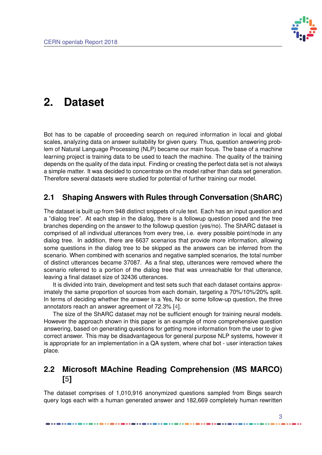

## <span id="page-6-3"></span><span id="page-6-0"></span>**2. Dataset**

Bot has to be capable of proceeding search on required information in local and global scales, analyzing data on answer suitability for given query. Thus, question answering problem of Natural Language Processing (NLP) became our main focus. The base of a machine learning project is training data to be used to teach the machine. The quality of the training depends on the quality of the data input. Finding or creating the perfect data set is not always a simple matter. It was decided to concentrate on the model rather than data set generation. Therefore several datasets were studied for potential of further training our model.

### <span id="page-6-1"></span>**2.1 Shaping Answers with Rules through Conversation (ShARC)**

The dataset is built up from 948 distinct snippets of rule text. Each has an input question and a "dialog tree". At each step in the dialog, there is a followup question posed and the tree branches depending on the answer to the followup question (yes/no). The ShARC dataset is comprised of all individual utterances from every tree, i.e. every possible point/node in any dialog tree. In addition, there are 6637 scenarios that provide more information, allowing some questions in the dialog tree to be skipped as the answers can be inferred from the scenario. When combined with scenarios and negative sampled scenarios, the total number of distinct utterances became 37087. As a final step, utterances were removed where the scenario referred to a portion of the dialog tree that was unreachable for that utterance, leaving a final dataset size of 32436 utterances.

It is divided into train, development and test sets such that each dataset contains approximately the same proportion of sources from each domain, targeting a 70%/10%/20% split. In terms of deciding whether the answer is a Yes, No or some follow-up question, the three annotators reach an answer agreement of 72.3% [\[4\]](#page-17-8).

The size of the ShARC dataset may not be sufficient enough for training neural models. However the approach shown in this paper is an example of more comprehensive question answering, based on generating questions for getting more information from the user to give correct answer. This may be disadvantageous for general purpose NLP systems, however it is appropriate for an implementation in a QA system, where chat bot - user interaction takes place.

### <span id="page-6-2"></span>**2.2 Microsoft MAchine Reading Comprehension (MS MARCO) [\[5\]](#page-17-0)**

The dataset comprises of 1,010,916 anonymized questions sampled from Bings search query logs each with a human generated answer and 182,669 completely human rewritten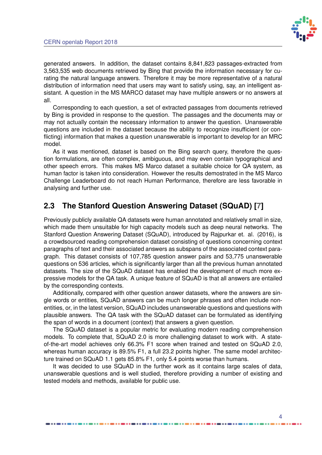

<span id="page-7-1"></span>generated answers. In addition, the dataset contains 8,841,823 passages-extracted from 3,563,535 web documents retrieved by Bing that provide the information necessary for curating the natural language answers. Therefore it may be more representative of a natural distribution of information need that users may want to satisfy using, say, an intelligent assistant. A question in the MS MARCO dataset may have multiple answers or no answers at all.

Corresponding to each question, a set of extracted passages from documents retrieved by Bing is provided in response to the question. The passages and the documents may or may not actually contain the necessary information to answer the question. Unanswerable questions are included in the dataset because the ability to recognize insufficient (or conflicting) information that makes a question unanswerable is important to develop for an MRC model.

As it was mentioned, dataset is based on the Bing search query, therefore the question formulations, are often complex, ambiguous, and may even contain typographical and other speech errors. This makes MS Marco dataset a suitable choice for QA system, as human factor is taken into consideration. However the results demostrated in the MS Marco Challenge Leaderboard do not reach Human Performance, therefore are less favorable in analysing and further use.

### <span id="page-7-0"></span>**2.3 The Stanford Question Answering Dataset (SQuAD) [\[7\]](#page-17-1)**

Previously publicly available QA datasets were human annotated and relatively small in size, which made them unsuitable for high capacity models such as deep neural networks. The Stanford Question Answering Dataset (SQuAD), introduced by Rajpurkar et. al. (2016), is a crowdsourced reading comprehension dataset consisting of questions concerning context paragraphs of text and their associated answers as subspans of the associated context paragraph. This dataset consists of 107,785 question answer pairs and 53,775 unanswerable questions on 536 articles, which is significantly larger than all the previous human annotated datasets. The size of the SQuAD dataset has enabled the development of much more expressive models for the QA task. A unique feature of SQuAD is that all answers are entailed by the corresponding contexts.

Additionally, compared with other question answer datasets, where the answers are single words or entities, SQuAD answers can be much longer phrases and often include nonentities, or, in the latest version, SQuAD includes unanswerable questions and questions with plausible answers. The QA task with the SQuAD dataset can be formulated as identifying the span of words in a document (context) that answers a given question.

The SQuAD dataset is a popular metric for evaluating modern reading comprehension models. To complete that, SQuAD 2.0 is more challenging dataset to work with. A stateof-the-art model achieves only 66.3% F1 score when trained and tested on SQuAD 2.0, whereas human accuracy is 89.5% F1, a full 23.2 points higher. The same model architecture trained on SQuAD 1.1 gets 85.8% F1, only 5.4 points worse than humans.

It was decided to use SQuAD in the further work as it contains large scales of data, unanswerable questions and is well studied, therefore providing a number of existing and tested models and methods, available for public use.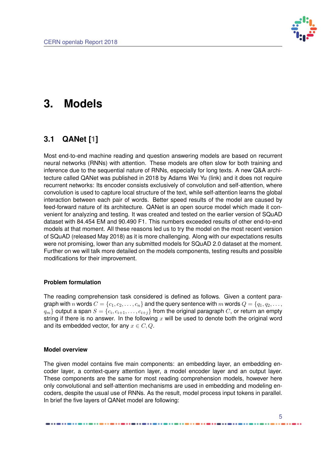

## <span id="page-8-2"></span><span id="page-8-0"></span>**3. Models**

### <span id="page-8-1"></span>**3.1 QANet [\[1\]](#page-17-2)**

Most end-to-end machine reading and question answering models are based on recurrent neural networks (RNNs) with attention. These models are often slow for both training and inference due to the sequential nature of RNNs, especially for long texts. A new Q&A architecture called QANet was published in 2018 by Adams Wei Yu (link) and it does not require recurrent networks: Its encoder consists exclusively of convolution and self-attention, where convolution is used to capture local structure of the text, while self-attention learns the global interaction between each pair of words. Better speed results of the model are caused by feed-forward nature of its architecture. QANet is an open source model which made it convenient for analyzing and testing. It was created and tested on the earlier version of SQuAD dataset with 84.454 EM and 90.490 F1. This numbers exceeded results of other end-to-end models at that moment. All these reasons led us to try the model on the most recent version of SQuAD (released May 2018) as it is more challenging. Along with our expectations results were not promising, lower than any submitted models for SQuAD 2.0 dataset at the moment. Further on we will talk more detailed on the models components, testing results and possible modifications for their improvement.

#### **Problem formulation**

The reading comprehension task considered is defined as follows. Given a content paragraph with n words  $C = \{c_1, c_2, \ldots, c_n\}$  and the query sentence with m words  $Q = \{q_1, q_2, \ldots, q_n\}$  $q_m\}$  output a span  $S=\{c_i, c_{i+1}, \ldots, c_{i+j}\}$  from the original paragraph  $C$ , or return an empty string if there is no answer. In the following  $x$  will be used to denote both the original word and its embedded vector, for any  $x \in C, Q$ .

#### **Model overview**

The given model contains five main components: an embedding layer, an embedding encoder layer, a context-query attention layer, a model encoder layer and an output layer. These components are the same for most reading comprehension models, however here only convolutional and self-attention mechanisms are used in embedding and modeling encoders, despite the usual use of RNNs. As the result, model process input tokens in parallel. In brief the five layers of QANet model are following: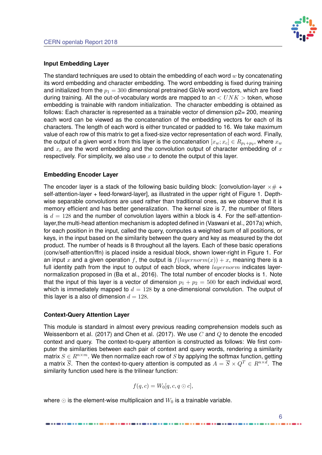

#### **Input Embedding Layer**

The standard techniques are used to obtain the embedding of each word  $w$  by concatenating its word embedding and character embedding. The word embedding is fixed during training and initialized from the  $p_1 = 300$  dimensional pretrained GloVe word vectors, which are fixed during training. All the out-of-vocabulary words are mapped to an  $\lt UNK >$  token, whose embedding is trainable with random initialization. The character embedding is obtained as follows: Each character is represented as a trainable vector of dimension  $p2$ = 200, meaning each word can be viewed as the concatenation of the embedding vectors for each of its characters. The length of each word is either truncated or padded to 16. We take maximum value of each row of this matrix to get a fixed-size vector representation of each word. Finally, the output of a given word x from this layer is the concatenation  $[x_w;x_c]\in R_{p_1+p_2},$  where  $x_w$ and  $x_c$  are the word embedding and the convolution output of character embedding of  $x$ respectively. For simplicity, we also use  $x$  to denote the output of this layer.

#### **Embedding Encoder Layer**

The encoder layer is a stack of the following basic building block: [convolution-layer  $\times\#$  + self-attention-layer + feed-forward-layer], as illustrated in the upper right of Figure 1. Depthwise separable convolutions are used rather than traditional ones, as we observe that it is memory efficient and has better generalization. The kernel size is 7, the number of filters is  $d = 128$  and the number of convolution layers within a block is 4. For the self-attentionlayer,the multi-head attention mechanism is adopted defined in (Vaswani et al., 2017a) which, for each position in the input, called the query, computes a weighted sum of all positions, or keys, in the input based on the similarity between the query and key as measured by the dot product. The number of heads is 8 throughout all the layers. Each of these basic operations (conv/self-attention/ffn) is placed inside a residual block, shown lower-right in Figure 1. For an input x and a given operation f, the output is  $f(layernorm(x)) + x$ , meaning there is a full identity path from the input to output of each block, where  $layernorm$  indicates layernormalization proposed in (Ba et al., 2016). The total number of encoder blocks is 1. Note that the input of this layer is a vector of dimension  $p_1 + p_2 = 500$  for each individual word, which is immediately mapped to  $d = 128$  by a one-dimensional convolution. The output of this layer is a also of dimension  $d = 128$ .

#### **Context-Query Attention Layer**

This module is standard in almost every previous reading comprehension models such as Weissenborn et al. (2017) and Chen et al. (2017). We use C and O to denote the encoded context and query. The context-to-query attention is constructed as follows: We first computer the similarities between each pair of context and query words, rendering a similarity matrix  $S \in R^{n \times m}$ . We then normalize each row of S by applying the softmax function, getting a matrix  $\overline{S}$ . Then the context-to-query attention is computed as  $A = \overline{S} \times Q^T \in R^{n \times d}$ . The similarity function used here is the trilinear function:

$$
f(q, c) = W_0[q, c, q \odot c],
$$

where  $\odot$  is the element-wise multiplicaion and  $W_0$  is a trainable variable.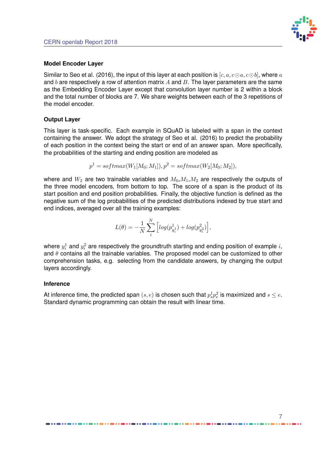

#### **Model Encoder Layer**

Similar to Seo et al. (2016), the input of this layer at each position is  $[c, a, c \odot a, c \odot b]$ , where a and b are respectively a row of attention matrix A and B. The layer parameters are the same as the Embedding Encoder Layer except that convolution layer number is 2 within a block and the total number of blocks are 7. We share weights between each of the 3 repetitions of the model encoder.

#### **Output Layer**

This layer is task-specific. Each example in SQuAD is labeled with a span in the context containing the answer. We adopt the strategy of Seo et al. (2016) to predict the probability of each position in the context being the start or end of an answer span. More specifically, the probabilities of the starting and ending position are modeled as

$$
p1 = softmax(W1[M0; M1]), p2 = softmax(W2[M0; M2]),
$$

where and  $W_2$  are two trainable variables and  $M_0, M_1, M_2$  are respectively the outputs of the three model encoders, from bottom to top. The score of a span is the product of its start position and end position probabilities. Finally, the objective function is defined as the negative sum of the log probabilities of the predicted distributions indexed by true start and end indices, averaged over all the training examples:

$$
L(\theta)=-\frac{1}{N}\sum_i^N\Big[log(p_{y_i^1}^1)+log(p_{y_i^2}^2)\Big],
$$

where  $y_i^1$  and  $y_i^2$  are respectively the groundtruth starting and ending position of example  $i$ , and  $\theta$  contains all the trainable variables. The proposed model can be customized to other comprehension tasks, e.g. selecting from the candidate answers, by changing the output layers accordingly.

#### **Inference**

At inference time, the predicted span  $(s,e)$  is chosen such that  $p_s^1p_e^2$  is maximized and  $s\leq e.$ Standard dynamic programming can obtain the result with linear time.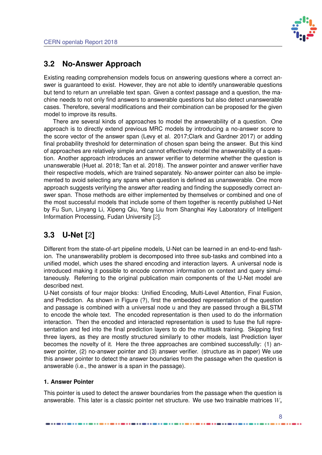

### <span id="page-11-2"></span><span id="page-11-0"></span>**3.2 No-Answer Approach**

Existing reading comprehension models focus on answering questions where a correct answer is guaranteed to exist. However, they are not able to identify unanswerable questions but tend to return an unreliable text span. Given a context passage and a question, the machine needs to not only find answers to answerable questions but also detect unanswerable cases. Therefore, several modifications and their combination can be proposed for the given model to improve its results.

There are several kinds of approaches to model the answerability of a question. One approach is to directly extend previous MRC models by introducing a no-answer score to the score vector of the answer span (Levy et al. 2017;Clark and Gardner 2017) or adding final probability threshold for determination of chosen span being the answer. But this kind of approaches are relatively simple and cannot effectively model the answerability of a question. Another approach introduces an answer verifier to determine whether the question is unanswerable (Huet al. 2018; Tan et al. 2018). The answer pointer and answer verifier have their respective models, which are trained separately. No-answer pointer can also be implemented to avoid selecting any spans when question is defined as unanswerable. One more approach suggests verifying the answer after reading and finding the supposedly correct answer span. Those methods are either implemented by themselves or combined and one of the most successful models that include some of them together is recently published U-Net by Fu Sun, Linyang Li, Xipeng Qiu, Yang Liu from Shanghai Key Laboratory of Intelligent Information Processing, Fudan University [\[2\]](#page-17-3).

### <span id="page-11-1"></span>**3.3 U-Net [\[2\]](#page-17-3)**

Different from the state-of-art pipeline models, U-Net can be learned in an end-to-end fashion. The unanswerability problem is decomposed into three sub-tasks and combined into a unified model, which uses the shared encoding and interaction layers. A universal node is introduced making it possible to encode common information on context and query simultaneously. Referring to the original publication main components of the U-Net model are described next.

U-Net consists of four major blocks: Unified Encoding, Multi-Level Attention, Final Fusion, and Prediction. As shown in Figure (?), first the embedded representation of the question and passage is combined with a universal node u and they are passed through a BiLSTM to encode the whole text. The encoded representation is then used to do the information interaction. Then the encoded and interacted representation is used to fuse the full representation and fed into the final prediction layers to do the multitask training. Skipping first three layers, as they are mostly structured similarly to other models, last Prediction layer becomes the novelty of it. Here the three approaches are combined successfully: (1) answer pointer, (2) no-answer pointer and (3) answer verifier. (structure as in paper) We use this answer pointer to detect the answer boundaries from the passage when the question is answerable (i.e., the answer is a span in the passage).

#### **1. Answer Pointer**

This pointer is used to detect the answer boundaries from the passage when the question is answerable. This later is a classic pointer net structure. We use two trainable matrices  $W_s$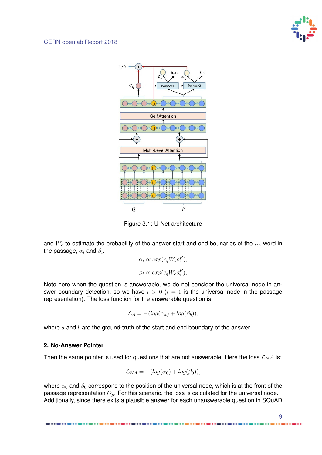<span id="page-12-0"></span>

Figure 3.1: U-Net architecture

and  $W_e$  to estimate the probability of the answer start and end bounaries of the  $i_{th}$  word in the passage,  $\alpha_i$  and  $\beta_i.$ 

$$
\alpha_i \propto exp(c_q W_s o_i^P),
$$
  

$$
\beta_i \propto exp(c_q W_e o_i^P),
$$

Note here when the question is answerable, we do not consider the universal node in answer boundary detection, so we have  $i > 0$  ( $i = 0$  is the universal node in the passage representation). The loss function for the answerable question is:

$$
\mathcal{L}_A = -(log(\alpha_a) + log(\beta_b)),
$$

where  $a$  and  $b$  are the ground-truth of the start and end boundary of the answer.

#### **2. No-Answer Pointer**

Then the same pointer is used for questions that are not answerable. Here the loss  $\mathcal{L}_N A$  is:

$$
\mathcal{L}_{NA} = -(log(\alpha_0) + log(\beta_0)),
$$

where  $\alpha_0$  and  $\beta_0$  correspond to the position of the universal node, which is at the front of the passage representation  $O_p$ . For this scenario, the loss is calculated for the universal node. Additionally, since there exits a plausible answer for each unanswerable question in SQuAD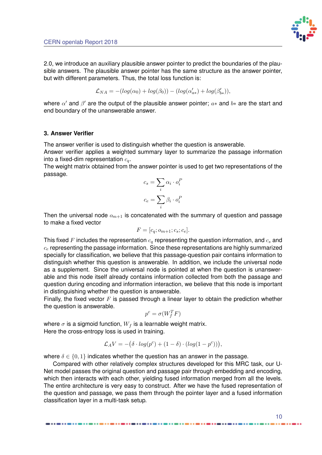

2.0, we introduce an auxiliary plausible answer pointer to predict the boundaries of the plausible answers. The plausible answer pointer has the same structure as the answer pointer, but with different parameters. Thus, the total loss function is:

$$
\mathcal{L}_{NA}=-(log(\alpha_0)+log(\beta_0))-(log(\alpha_{a*}')+log(\beta_{b*}')),
$$

where  $\alpha'$  and  $\beta'$  are the output of the plausible answer pointer;  $a*$  and  $b*$  are the start and end boundary of the unanswerable answer.

#### **3. Answer Verifier**

The answer verifier is used to distinguish whether the question is answerable.

Answer verifier applies a weighted summary layer to summarize the passage information into a fixed-dim representation  $c_q$ .

The weight matrix obtained from the answer pointer is used to get two representations of the passage.

$$
c_s = \sum_i \alpha_i \cdot o_i^P
$$

$$
c_e = \sum_i \beta_i \cdot o_i^P
$$

Then the universal node  $o_{m+1}$  is concatenated with the summary of question and passage to make a fixed vector

$$
F = [c_q; o_{m+1}; c_s; c_e].
$$

This fixed F includes the representation  $c_q$  representing the question information, and  $c_s$  and  $c<sub>e</sub>$  representing the passage information. Since these representations are highly summarized specially for classification, we believe that this passage-question pair contains information to distinguish whether this question is answerable. In addition, we include the universal node as a supplement. Since the universal node is pointed at when the question is unanswerable and this node itself already contains information collected from both the passage and question during encoding and information interaction, we believe that this node is important in distinguishing whether the question is answerable.

Finally, the fixed vector  $F$  is passed through a linear layer to obtain the prediction whether the question is answerable.

$$
p^c = \sigma(W_f^T F)
$$

where  $\sigma$  is a sigmoid function,  $W_f$  is a learnable weight matrix. Here the cross-entropy loss is used in training.

$$
\mathcal{L}_A V = -(\delta \cdot log(p^c) + (1 - \delta) \cdot (log(1 - p^c))),
$$

where  $\delta \in \{0,1\}$  indicates whether the question has an answer in the passage.

Compared with other relatively complex structures developed for this MRC task, our U-Net model passes the original question and passage pair through embedding and encoding, which then interacts with each other, yielding fused information merged from all the levels. The entire architecture is very easy to construct. After we have the fused representation of the question and passage, we pass them through the pointer layer and a fused information classification layer in a multi-task setup.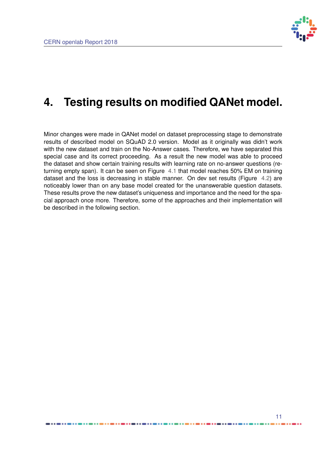

## <span id="page-14-0"></span>**4. Testing results on modified QANet model.**

Minor changes were made in QANet model on dataset preprocessing stage to demonstrate results of described model on SQuAD 2.0 version. Model as it originally was didn't work with the new dataset and train on the No-Answer cases. Therefore, we have separated this special case and its correct proceeding. As a result the new model was able to proceed the dataset and show certain training results with learning rate on no-answer questions (returning empty span). It can be seen on Figure [4.1](#page-15-0) that model reaches 50% EM on training dataset and the loss is decreasing in stable manner. On dev set results (Figure [4.2\)](#page-15-1) are noticeably lower than on any base model created for the unanswerable question datasets. These results prove the new dataset's uniqueness and importance and the need for the spacial approach once more. Therefore, some of the approaches and their implementation will be described in the following section.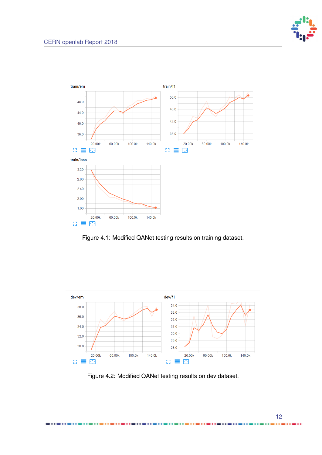

<span id="page-15-0"></span>

Figure 4.1: Modified QANet testing results on training dataset.

<span id="page-15-1"></span>

Figure 4.2: Modified QANet testing results on dev dataset.

...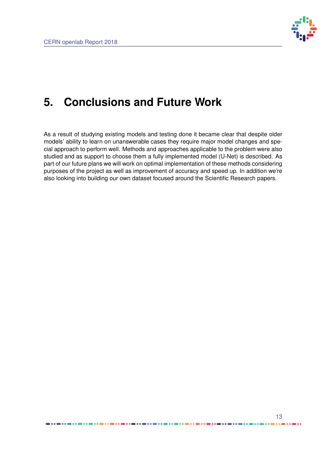

## <span id="page-16-0"></span>**5. Conclusions and Future Work**

As a result of studying existing models and testing done it became clear that despite older models' ability to learn on unanswerable cases they require major model changes and special approach to perform well. Methods and approaches applicable to the problem were also studied and as support to choose them a fully implemented model (U-Net) is described. As part of our future plans we will work on optimal implementation of these methods considering purposes of the project as well as improvement of accuracy and speed up. In addition we're also looking into building our own dataset focused around the Scientific Research papers.